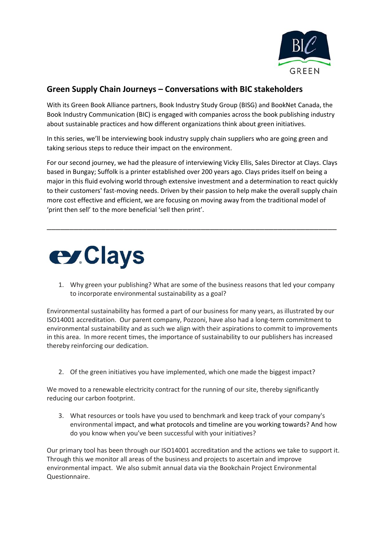

## **Green Supply Chain Journeys – Conversations with BIC stakeholders**

With its Green Book Alliance partners, Book Industry Study Group (BISG) and BookNet Canada, the Book Industry Communication (BIC) is engaged with companies across the book publishing industry about sustainable practices and how different organizations think about green initiatives.

In this series, we'll be interviewing book industry supply chain suppliers who are going green and taking serious steps to reduce their impact on the environment.

For our second journey, we had the pleasure of interviewing Vicky Ellis, Sales Director at Clays. Clays based in Bungay; Suffolk is a printer established over 200 years ago. Clays prides itself on being a major in this fluid evolving world through extensive investment and a determination to react quickly to their customers' fast-moving needs. Driven by their passion to help make the overall supply chain more cost effective and efficient, we are focusing on moving away from the traditional model of 'print then sell' to the more beneficial 'sell then print'.

\_\_\_\_\_\_\_\_\_\_\_\_\_\_\_\_\_\_\_\_\_\_\_\_\_\_\_\_\_\_\_\_\_\_\_\_\_\_\_\_\_\_\_\_\_\_\_\_\_\_\_\_\_\_\_\_\_\_\_\_\_\_\_\_



1. Why green your publishing? What are some of the business reasons that led your company to incorporate environmental sustainability as a goal?

Environmental sustainability has formed a part of our business for many years, as illustrated by our ISO14001 accreditation. Our parent company, Pozzoni, have also had a long-term commitment to environmental sustainability and as such we align with their aspirations to commit to improvements in this area. In more recent times, the importance of sustainability to our publishers has increased thereby reinforcing our dedication.

2. Of the green initiatives you have implemented, which one made the biggest impact?

We moved to a renewable electricity contract for the running of our site, thereby significantly reducing our carbon footprint.

3. What resources or tools have you used to benchmark and keep track of your company's environmental impact, and what protocols and timeline are you working towards? And how do you know when you've been successful with your initiatives?

Our primary tool has been through our ISO14001 accreditation and the actions we take to support it. Through this we monitor all areas of the business and projects to ascertain and improve environmental impact. We also submit annual data via the Bookchain Project Environmental Questionnaire.